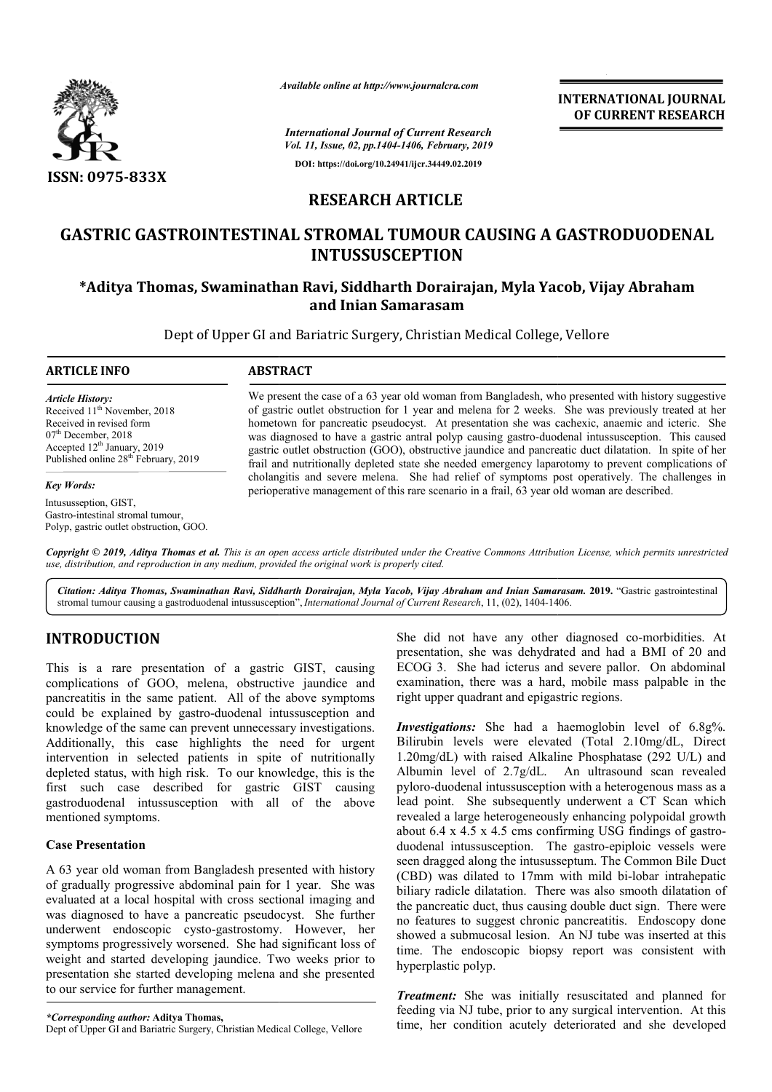

*Available online at http://www.journalcra.com*

*International Journal of Current Research Vol. 11, Issue, 02, pp.1404-1406, February, 2019* **DOI: https://doi.org/10.24941/ijcr.34449.02.2019**

**INTERNATIONAL JOURNAL OF CURRENT RESEARCH**

# **RESEARCH ARTICLE**

# GASTRIC GASTROINTESTINAL STROMAL TUMOUR CAUSING A GASTRODUODENAL<br>INTUSSUSCEPTION<br>Aditya Thomas, Swaminathan Ravi, Siddharth Dorairajan, Myla Yacob, Vijay Abraham\* **INTUSSUSCEPTION**

# \*Aditya Thomas, Swaminathan Ravi, Siddharth Dorairajan, Myla Yacob, Vijay Abraham **and Inian Samarasam**

Dept of Upper GI and Bariatric Surgery, Christian Medical College, Vellore

### **ARTICLE INFO ABSTRACT**

*Article History:* Received 11<sup>th</sup> November, 2018 Received in revised form  $07<sup>th</sup>$  December, 2018 Accepted 12<sup>th</sup> January, 2019 Published online 28<sup>th</sup> February, 2019

### *Key Words:*

Intususseption, GIST, Gastro-intestinal stromal tumour, Polyp, gastric outlet obstruction, GOO.

We present the case of a 63 year old woman from Bangladesh, who presented with history suggestive of gastric outlet obstruction for 1 year and melena for 2 weeks. She was previously treated at her hometown for pancreatic pseudocyst. At presentation she was cachexic, anaemic and icteric. She was diagnosed to have a gastric antral polyp causing gastro-duodenal intussusception. This caused gastric outlet obstruction (GOO), obstructive jaundice and pancreatic duct dilatation. In sp frail and nutritionally depleted state she needed emergency laparotomy to prevent complications of cholangitis and severe melena. She had relief of symptoms post operatively. The challenges in perioperative management of this rare scenario in a frail, 63 year old woman are described. We present the case of a 63 year old woman from Bangladesh, who presented with history suggestive of gastric outlet obstruction for 1 year and melena for 2 weeks. She was previously treated at her hometown for pancreatic p frail and nutritionally depleted state she needed emerge<br>cholangitis and severe melena. She had relief of syn<br>perioperative management of this rare scenario in a frail,

Copyright © 2019, Aditya Thomas et al. This is an open access article distributed under the Creative Commons Attribution License, which permits unrestrictea *use, distribution, and reproduction in any medium, provided the original work is properly cited.*

*Citation: Aditya Thomas, Swaminathan Ravi, Siddharth Dorairajan, Myla Yacob, Vijay Abraham and Inian Samarasam Abraham Samarasam.* **2019.** "Gastric gastrointestinal stromal tumour causing a gastroduodenal intussusception", *International Journal of Current Research*, 11, (02), 1404-1406.

# **INTRODUCTION**

This is a rare presentation of a gastric GIST, causing complications of GOO, melena, obstructive jaundice and pancreatitis in the same patient. All of the above symptoms could be explained by gastro-duodenal intussusception and knowledge of the same can prevent unnecessary investigations. Additionally, this case highlights the need for urgent intervention in selected patients in spite of nutritionally depleted status, with high risk. To our knowledge, this is the first such case described for gastric GIST causing gastroduodenal intussusception with all of the above mentioned symptoms. na, obstru<br>. All of<br>duodenal

# **Case Presentation**

A 63 year old woman from Bangladesh presented with history of gradually progressive abdominal pain for 1 year. She was evaluated at a local hospital with cross sectional imaging and was diagnosed to have a pancreatic pseudocyst. She further underwent endoscopic cysto-gastrostomy. However, her symptoms progressively worsened. She had significant loss of weight and started developing jaundice. Two weeks prior to presentation she started developing melena and she presented to our service for further management.

presentation, she was dehydrated and had a BMI of 20 and ECOG 3. She had icterus and severe pallor. On abdominal examination, there was a hard, mobile mass palpable in the right upper quadrant and epigastric regions. She did not have any other diagnosed co-morbidities. At dehydrated and had a BMI of 20 and<br>terus and severe pallor. On abdominal<br>as a hard, mobile mass palpable in the<br>nd epigastric regions.<br>had a haemoglobin level of 6.8g%.

She did not have any other diagnosed co<br>
gastric GIST, causing ECOG 3. She had icterus and have a land land<br>
ana, obstructive jaundice and<br>
examination, there was a hard, mobile mass<br>
All of the above symptoms right upper *Investigations:* She had a haemoglobin level of 6.8g%. Bilirubin levels were elevated (Total 2.10mg/dL, Direct 1.20mg/dL) with raised Alkaline Phosphatase (292 U/L) and Albumin level of 2.7g/dL. An ultrasound scan revealed pyloro-duodenal intussusception with a heterogenous mass as a lead point. She subsequently underwent a CT Scan which revealed a large heterogeneously enhancing polypoidal growth about 6.4 x 4.5 x 4.5 cms confirming USG findings of gastro duodenal intussusception. The gastro-epiploic vessels were seen dragged along the intususseptum. The Common Bile Duct seen dragged along the intususseptum. The Common Bile Duct (CBD) was dilated to 17mm with mild bi-lobar intrahepatic biliary radicle dilatation. There was also smooth dilatation of the pancreatic duct, thus causing double duct sign. There were no features to suggest chronic pancreatitis. Endoscopy done showed a submucosal lesion. An NJ tube was inserted at this time. The endoscopic biopsy report was consistent with hyperplastic polyp. Bilirubin levels were elevated (Total 2.10mg/dL, Direct 1.20mg/dL) with raised Alkaline Phosphatase (292 U/L) and Albumin level of 2.7g/dL. An ultrasound scan revealed byloro-duodenal intussusception with a heterogenous ma biliary radicle dilatation. There was also smooth dilatation of the pancreatic duct, thus causing double duct sign. There were no features to suggest chronic pancreatitis. Endoscopy done submucosal tube this The endoscopic report was consistent She At and 

*Treatment:* She was initially resuscitated and planned for feeding via NJ tube, prior to any surgical intervention. At this time, her condition acutely deteriorated and she developed

*<sup>\*</sup>Corresponding author:* **Aditya Thomas,**

Dept of Upper GI and Bariatric Surgery, Christian Medical College, Vellore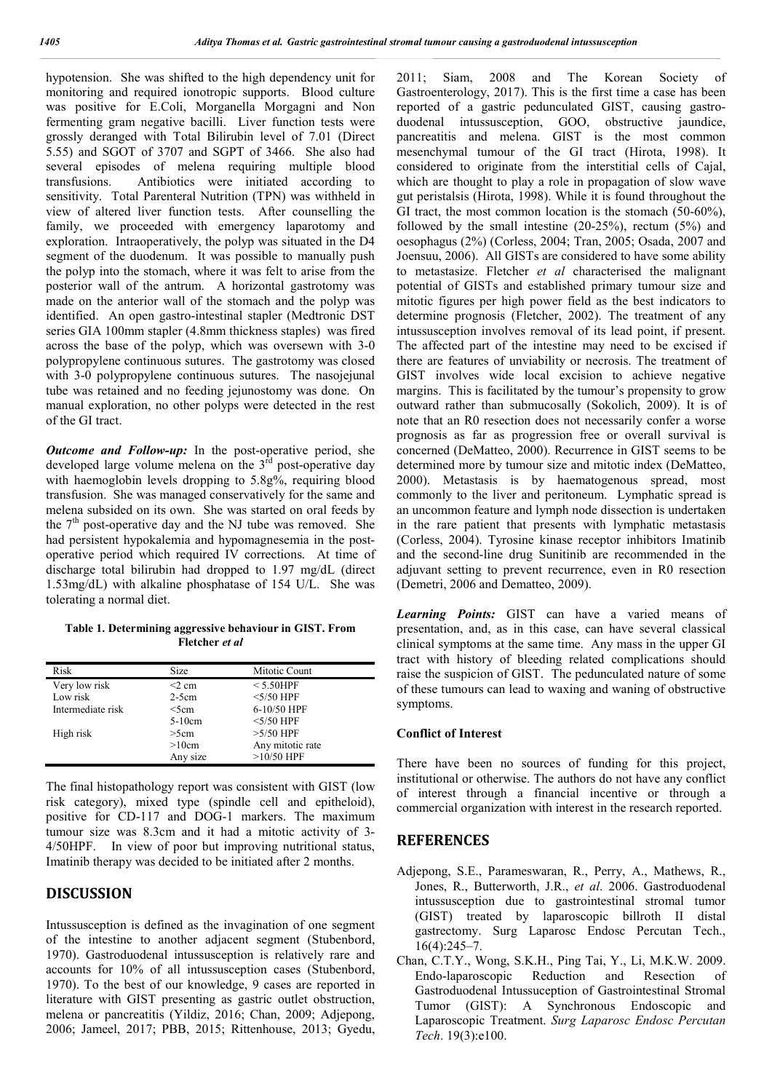hypotension. She was shifted to the high dependency unit for monitoring and required ionotropic supports. Blood culture was positive for E.Coli, Morganella Morgagni and Non fermenting gram negative bacilli. Liver function tests were grossly deranged with Total Bilirubin level of 7.01 (Direct 5.55) and SGOT of 3707 and SGPT of 3466. She also had several episodes of melena requiring multiple blood transfusions. Antibiotics were initiated according to sensitivity. Total Parenteral Nutrition (TPN) was withheld in view of altered liver function tests. After counselling the family, we proceeded with emergency laparotomy and exploration. Intraoperatively, the polyp was situated in the D4 segment of the duodenum. It was possible to manually push the polyp into the stomach, where it was felt to arise from the posterior wall of the antrum. A horizontal gastrotomy was made on the anterior wall of the stomach and the polyp was identified. An open gastro-intestinal stapler (Medtronic DST series GIA 100mm stapler (4.8mm thickness staples) was fired across the base of the polyp, which was oversewn with 3-0 polypropylene continuous sutures. The gastrotomy was closed with 3-0 polypropylene continuous sutures. The nasojejunal tube was retained and no feeding jejunostomy was done. On manual exploration, no other polyps were detected in the rest of the GI tract.

*Outcome and Follow-up:* In the post-operative period, she developed large volume melena on the  $3<sup>rd</sup>$  post-operative day with haemoglobin levels dropping to 5.8g%, requiring blood transfusion. She was managed conservatively for the same and melena subsided on its own. She was started on oral feeds by the  $7<sup>th</sup>$  post-operative day and the NJ tube was removed. She had persistent hypokalemia and hypomagnesemia in the postoperative period which required IV corrections. At time of discharge total bilirubin had dropped to 1.97 mg/dL (direct 1.53mg/dL) with alkaline phosphatase of 154 U/L. She was tolerating a normal diet.

**Table 1. Determining aggressive behaviour in GIST. From Fletcher** *et al*

| Risk              | Size       | Mitotic Count    |  |
|-------------------|------------|------------------|--|
| Very low risk     | $<$ 2 cm   | $<$ 5.50HPF      |  |
| Low risk          | $2-5cm$    | $<$ 5/50 HPF     |  |
| Intermediate risk | $<$ 5 $cm$ | 6-10/50 HPF      |  |
|                   | $5-10cm$   | $<$ 5/50 HPF     |  |
| High risk         | >5cm       | $>5/50$ HPF      |  |
|                   | >10cm      | Any mitotic rate |  |
|                   | Any size   | $>10/50$ HPF     |  |

The final histopathology report was consistent with GIST (low risk category), mixed type (spindle cell and epitheloid), positive for CD-117 and DOG-1 markers. The maximum tumour size was 8.3cm and it had a mitotic activity of 3- 4/50HPF. In view of poor but improving nutritional status, Imatinib therapy was decided to be initiated after 2 months.

# **DISCUSSION**

Intussusception is defined as the invagination of one segment of the intestine to another adjacent segment (Stubenbord, 1970). Gastroduodenal intussusception is relatively rare and accounts for 10% of all intussusception cases (Stubenbord, 1970). To the best of our knowledge, 9 cases are reported in literature with GIST presenting as gastric outlet obstruction, melena or pancreatitis (Yildiz, 2016; Chan, 2009; Adjepong, 2006; Jameel, 2017; PBB, 2015; Rittenhouse, 2013; Gyedu,

2011; Siam, 2008 and The Korean Society of Gastroenterology, 2017). This is the first time a case has been reported of a gastric pedunculated GIST, causing gastroduodenal intussusception, GOO, obstructive jaundice, pancreatitis and melena. GIST is the most common mesenchymal tumour of the GI tract (Hirota, 1998). It considered to originate from the interstitial cells of Cajal, which are thought to play a role in propagation of slow wave gut peristalsis (Hirota, 1998). While it is found throughout the GI tract, the most common location is the stomach (50-60%), followed by the small intestine  $(20-25\%)$ , rectum  $(5\%)$  and oesophagus (2%) (Corless, 2004; Tran, 2005; Osada, 2007 and Joensuu, 2006). All GISTs are considered to have some ability to metastasize. Fletcher *et al* characterised the malignant potential of GISTs and established primary tumour size and mitotic figures per high power field as the best indicators to determine prognosis (Fletcher, 2002). The treatment of any intussusception involves removal of its lead point, if present. The affected part of the intestine may need to be excised if there are features of unviability or necrosis. The treatment of GIST involves wide local excision to achieve negative margins. This is facilitated by the tumour's propensity to grow outward rather than submucosally (Sokolich, 2009). It is of note that an R0 resection does not necessarily confer a worse prognosis as far as progression free or overall survival is concerned (DeMatteo, 2000). Recurrence in GIST seems to be determined more by tumour size and mitotic index (DeMatteo, 2000). Metastasis is by haematogenous spread, most commonly to the liver and peritoneum. Lymphatic spread is an uncommon feature and lymph node dissection is undertaken in the rare patient that presents with lymphatic metastasis (Corless, 2004). Tyrosine kinase receptor inhibitors Imatinib and the second-line drug Sunitinib are recommended in the adjuvant setting to prevent recurrence, even in R0 resection (Demetri, 2006 and Dematteo, 2009).

*Learning Points:* GIST can have a varied means of presentation, and, as in this case, can have several classical clinical symptoms at the same time. Any mass in the upper GI tract with history of bleeding related complications should raise the suspicion of GIST. The pedunculated nature of some of these tumours can lead to waxing and waning of obstructive symptoms.

### **Conflict of Interest**

There have been no sources of funding for this project, institutional or otherwise. The authors do not have any conflict of interest through a financial incentive or through a commercial organization with interest in the research reported.

## **REFERENCES**

- Adjepong, S.E., Parameswaran, R., Perry, A., Mathews, R., Jones, R., Butterworth, J.R., *et al*. 2006. Gastroduodenal intussusception due to gastrointestinal stromal tumor (GIST) treated by laparoscopic billroth II distal gastrectomy. Surg Laparosc Endosc Percutan Tech., 16(4):245–7.
- Chan, C.T.Y., Wong, S.K.H., Ping Tai, Y., Li, M.K.W. 2009. Endo-laparoscopic Reduction and Resection of Gastroduodenal Intussuception of Gastrointestinal Stromal Tumor (GIST): A Synchronous Endoscopic and Laparoscopic Treatment. *Surg Laparosc Endosc Percutan Tech*. 19(3):e100.